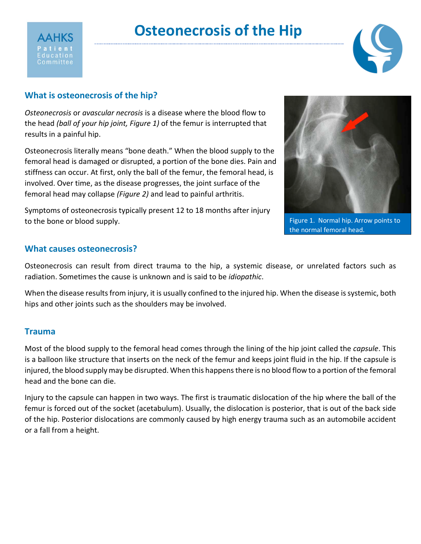



# **What is osteonecrosis of the hip?**

*Osteonecrosis* or *avascular necrosis* is a disease where the blood flow to the head *(ball of your hip joint, Figure 1)* of the femur is interrupted that results in a painful hip.

Osteonecrosis literally means "bone death." When the blood supply to the femoral head is damaged or disrupted, a portion of the bone dies. Pain and stiffness can occur. At first, only the ball of the femur, the femoral head, is involved. Over time, as the disease progresses, the joint surface of the femoral head may collapse *(Figure 2)* and lead to painful arthritis.

Symptoms of osteonecrosis typically present 12 to 18 months after injury to the bone or blood supply.



Figure 1. Normal hip. Arrow points to the normal femoral head.

### **What causes osteonecrosis?**

Osteonecrosis can result from direct trauma to the hip, a systemic disease, or unrelated factors such as radiation. Sometimes the cause is unknown and is said to be *idiopathic*.

When the disease results from injury, it is usually confined to the injured hip. When the disease is systemic, both hips and other joints such as the shoulders may be involved.

#### **Trauma**

Most of the blood supply to the femoral head comes through the lining of the hip joint called the *capsule*. This is a balloon like structure that inserts on the neck of the femur and keeps joint fluid in the hip. If the capsule is injured, the blood supply may be disrupted. When this happens there is no blood flow to a portion of the femoral head and the bone can die.

Injury to the capsule can happen in two ways. The first is traumatic dislocation of the hip where the ball of the femur is forced out of the socket (acetabulum). Usually, the dislocation is posterior, that is out of the back side of the hip. Posterior dislocations are commonly caused by high energy trauma such as an automobile accident or a fall from a height.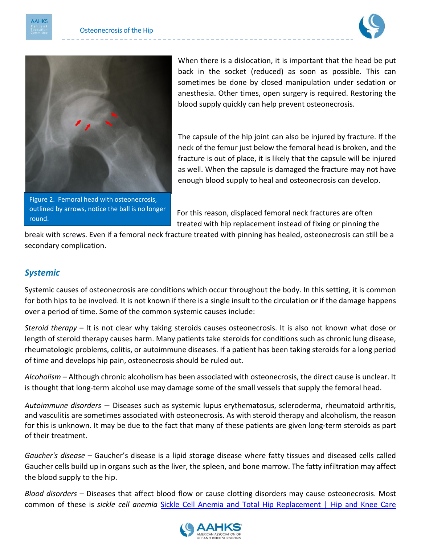



Figure 2. Femoral head with osteonecrosis, outlined by arrows, notice the ball is no longer round.

When there is a dislocation, it is important that the head be put back in the socket (reduced) as soon as possible. This can sometimes be done by closed manipulation under sedation or anesthesia. Other times, open surgery is required. Restoring the blood supply quickly can help prevent osteonecrosis.

The capsule of the hip joint can also be injured by fracture. If the neck of the femur just below the femoral head is broken, and the fracture is out of place, it is likely that the capsule will be injured as well. When the capsule is damaged the fracture may not have enough blood supply to heal and osteonecrosis can develop.

For this reason, displaced femoral neck fractures are often treated with hip replacement instead of fixing or pinning the

break with screws. Even if a femoral neck fracture treated with pinning has healed, osteonecrosis can still be a secondary complication.

# *Systemic*

Systemic causes of osteonecrosis are conditions which occur throughout the body. In this setting, it is common for both hips to be involved. It is not known if there is a single insult to the circulation or if the damage happens over a period of time. Some of the common systemic causes include:

*Steroid therapy* – It is not clear why taking steroids causes osteonecrosis. It is also not known what dose or length of steroid therapy causes harm. Many patients take steroids for conditions such as chronic lung disease, rheumatologic problems, colitis, or autoimmune diseases. If a patient has been taking steroids for a long period of time and develops hip pain, osteonecrosis should be ruled out.

*Alcoholism* – Although chronic alcoholism has been associated with osteonecrosis, the direct cause is unclear. It is thought that long-term alcohol use may damage some of the small vessels that supply the femoral head.

*Autoimmune disorders* – Diseases such as systemic lupus erythematosus, scleroderma, rheumatoid arthritis, and vasculitis are sometimes associated with osteonecrosis. As with steroid therapy and alcoholism, the reason for this is unknown. It may be due to the fact that many of these patients are given long-term steroids as part of their treatment.

*Gaucher's disease* – Gaucher's disease is a lipid storage disease where fatty tissues and diseased cells called Gaucher cells build up in organs such as the liver, the spleen, and bone marrow. The fatty infiltration may affect the blood supply to the hip.

*Blood disorders* – Diseases that affect blood flow or cause clotting disorders may cause osteonecrosis. Most common of these is *sickle cell anemia* [Sickle Cell Anemia and Total Hip Replacement | Hip and Knee Care](https://hipknee.aahks.org/sickle-cell-anemia-and-total-hip-replacement/) 

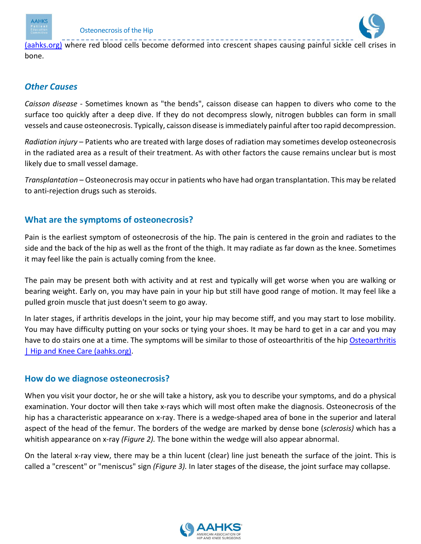



[\(aahks.org\)](https://hipknee.aahks.org/sickle-cell-anemia-and-total-hip-replacement/) where red blood cells become deformed into crescent shapes causing painful sickle cell crises in bone.

### *Other Causes*

*Caisson disease* - Sometimes known as "the bends", caisson disease can happen to divers who come to the surface too quickly after a deep dive. If they do not decompress slowly, nitrogen bubbles can form in small vessels and cause osteonecrosis. Typically, caisson disease is immediately painful after too rapid decompression.

*Radiation injury* – Patients who are treated with large doses of radiation may sometimes develop osteonecrosis in the radiated area as a result of their treatment. As with other factors the cause remains unclear but is most likely due to small vessel damage.

*Transplantation* – Osteonecrosis may occur in patients who have had organ transplantation. This may be related to anti-rejection drugs such as steroids.

# **What are the symptoms of osteonecrosis?**

Pain is the earliest symptom of osteonecrosis of the hip. The pain is centered in the groin and radiates to the side and the back of the hip as well as the front of the thigh. It may radiate as far down as the knee. Sometimes it may feel like the pain is actually coming from the knee.

The pain may be present both with activity and at rest and typically will get worse when you are walking or bearing weight. Early on, you may have pain in your hip but still have good range of motion. It may feel like a pulled groin muscle that just doesn't seem to go away.

In later stages, if arthritis develops in the joint, your hip may become stiff, and you may start to lose mobility. You may have difficulty putting on your socks or tying your shoes. It may be hard to get in a car and you may have to do stairs one at a time. The symptoms will be similar to those of osteoarthritis of the hip Osteoarthritis [| Hip and Knee Care \(aahks.org\).](https://hipknee.aahks.org/osteoarthritis-frequently-asked-questions/)

# **How do we diagnose osteonecrosis?**

When you visit your doctor, he or she will take a history, ask you to describe your symptoms, and do a physical examination. Your doctor will then take x-rays which will most often make the diagnosis. Osteonecrosis of the hip has a characteristic appearance on x-ray. There is a wedge-shaped area of bone in the superior and lateral aspect of the head of the femur. The borders of the wedge are marked by dense bone (*sclerosis)* which has a whitish appearance on x-ray *(Figure 2).* The bone within the wedge will also appear abnormal.

On the lateral x-ray view, there may be a thin lucent (clear) line just beneath the surface of the joint. This is called a "crescent" or "meniscus" sign *(Figure 3).* In later stages of the disease, the joint surface may collapse.

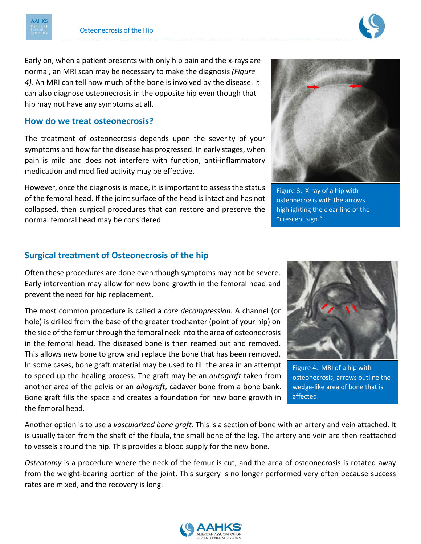



Early on, when a patient presents with only hip pain and the x-rays are normal, an MRI scan may be necessary to make the diagnosis *(Figure 4).* An MRI can tell how much of the bone is involved by the disease. It can also diagnose osteonecrosis in the opposite hip even though that hip may not have any symptoms at all.

#### **How do we treat osteonecrosis?**

The treatment of osteonecrosis depends upon the severity of your symptoms and how far the disease has progressed. In early stages, when pain is mild and does not interfere with function, anti-inflammatory medication and modified activity may be effective.

However, once the diagnosis is made, it is important to assess the status of the femoral head. If the joint surface of the head is intact and has not collapsed, then surgical procedures that can restore and preserve the normal femoral head may be considered.



Figure 3. X-ray of a hip with osteonecrosis with the arrows highlighting the clear line of the "crescent sign."

### **Surgical treatment of Osteonecrosis of the hip**

Often these procedures are done even though symptoms may not be severe. Early intervention may allow for new bone growth in the femoral head and prevent the need for hip replacement.

The most common procedure is called a *core decompression*. A channel (or hole) is drilled from the base of the greater trochanter (point of your hip) on the side of the femur through the femoral neck into the area of osteonecrosis in the femoral head. The diseased bone is then reamed out and removed. This allows new bone to grow and replace the bone that has been removed. In some cases, bone graft material may be used to fill the area in an attempt to speed up the healing process. The graft may be an *autograft* taken from another area of the pelvis or an *allograft*, cadaver bone from a bone bank. Bone graft fills the space and creates a foundation for new bone growth in the femoral head.



Figure 4. MRI of a hip with osteonecrosis, arrows outline the wedge-like area of bone that is affected.

Another option is to use a *vascularized bone graft*. This is a section of bone with an artery and vein attached. It is usually taken from the shaft of the fibula, the small bone of the leg. The artery and vein are then reattached to vessels around the hip. This provides a blood supply for the new bone.

*Osteotomy* is a procedure where the neck of the femur is cut, and the area of osteonecrosis is rotated away from the weight-bearing portion of the joint. This surgery is no longer performed very often because success rates are mixed, and the recovery is long.